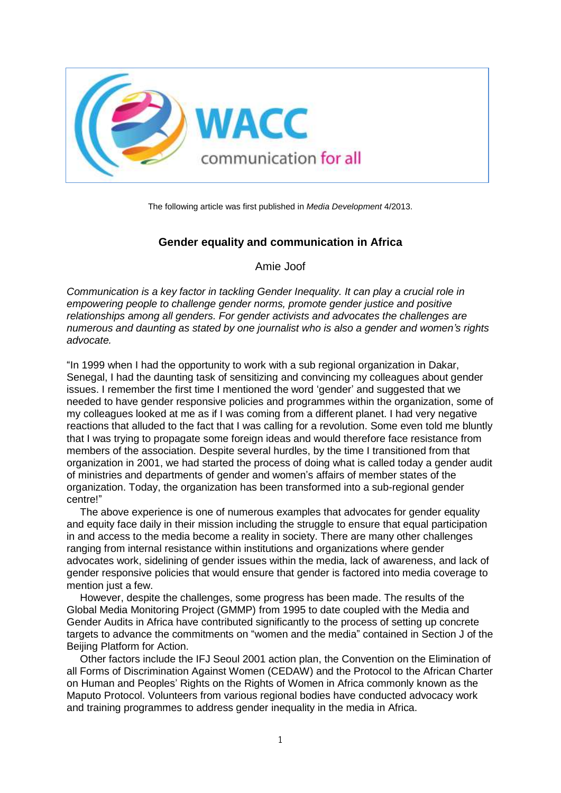

The following article was first published in *Media Development* 4/2013.

### **Gender equality and communication in Africa**

Amie Joof

*Communication is a key factor in tackling Gender Inequality. It can play a crucial role in empowering people to challenge gender norms, promote gender justice and positive relationships among all genders. For gender activists and advocates the challenges are numerous and daunting as stated by one journalist who is also a gender and women's rights advocate.*

"In 1999 when I had the opportunity to work with a sub regional organization in Dakar, Senegal, I had the daunting task of sensitizing and convincing my colleagues about gender issues. I remember the first time I mentioned the word 'gender' and suggested that we needed to have gender responsive policies and programmes within the organization, some of my colleagues looked at me as if I was coming from a different planet. I had very negative reactions that alluded to the fact that I was calling for a revolution. Some even told me bluntly that I was trying to propagate some foreign ideas and would therefore face resistance from members of the association. Despite several hurdles, by the time I transitioned from that organization in 2001, we had started the process of doing what is called today a gender audit of ministries and departments of gender and women's affairs of member states of the organization. Today, the organization has been transformed into a sub-regional gender centre!"

The above experience is one of numerous examples that advocates for gender equality and equity face daily in their mission including the struggle to ensure that equal participation in and access to the media become a reality in society. There are many other challenges ranging from internal resistance within institutions and organizations where gender advocates work, sidelining of gender issues within the media, lack of awareness, and lack of gender responsive policies that would ensure that gender is factored into media coverage to mention just a few.

However, despite the challenges, some progress has been made. The results of the Global Media Monitoring Project (GMMP) from 1995 to date coupled with the Media and Gender Audits in Africa have contributed significantly to the process of setting up concrete targets to advance the commitments on "women and the media" contained in Section J of the Beijing Platform for Action.

Other factors include the IFJ Seoul 2001 action plan, the Convention on the Elimination of all Forms of Discrimination Against Women (CEDAW) and the Protocol to the African Charter on Human and Peoples' Rights on the Rights of Women in Africa commonly known as the Maputo Protocol. Volunteers from various regional bodies have conducted advocacy work and training programmes to address gender inequality in the media in Africa.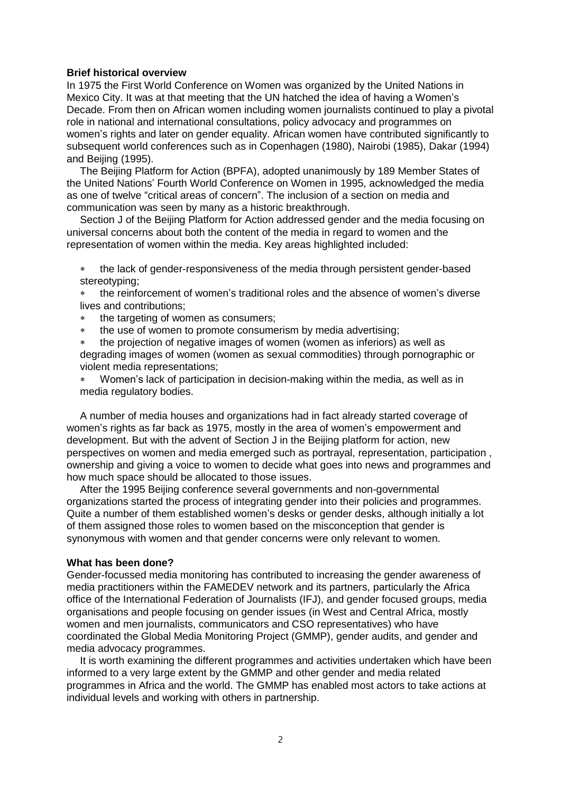#### **Brief historical overview**

In 1975 the First World Conference on Women was organized by the United Nations in Mexico City. It was at that meeting that the UN hatched the idea of having a Women's Decade. From then on African women including women journalists continued to play a pivotal role in national and international consultations, policy advocacy and programmes on women's rights and later on gender equality. African women have contributed significantly to subsequent world conferences such as in Copenhagen (1980), Nairobi (1985), Dakar (1994) and Beijing (1995).

The Beijing Platform for Action (BPFA), adopted unanimously by 189 Member States of the United Nations' Fourth World Conference on Women in 1995, acknowledged the media as one of twelve "critical areas of concern". The inclusion of a section on media and communication was seen by many as a historic breakthrough.

Section J of the Beijing Platform for Action addressed gender and the media focusing on universal concerns about both the content of the media in regard to women and the representation of women within the media. Key areas highlighted included:

 the lack of gender-responsiveness of the media through persistent gender-based stereotyping;

 the reinforcement of women's traditional roles and the absence of women's diverse lives and contributions;

- \* the targeting of women as consumers;
- the use of women to promote consumerism by media advertising;
- the projection of negative images of women (women as inferiors) as well as degrading images of women (women as sexual commodities) through pornographic or violent media representations;

 Women's lack of participation in decision-making within the media, as well as in media regulatory bodies.

A number of media houses and organizations had in fact already started coverage of women's rights as far back as 1975, mostly in the area of women's empowerment and development. But with the advent of Section J in the Beijing platform for action, new perspectives on women and media emerged such as portrayal, representation, participation , ownership and giving a voice to women to decide what goes into news and programmes and how much space should be allocated to those issues.

After the 1995 Beijing conference several governments and non-governmental organizations started the process of integrating gender into their policies and programmes. Quite a number of them established women's desks or gender desks, although initially a lot of them assigned those roles to women based on the misconception that gender is synonymous with women and that gender concerns were only relevant to women.

#### **What has been done?**

Gender-focussed media monitoring has contributed to increasing the gender awareness of media practitioners within the FAMEDEV network and its partners, particularly the Africa office of the International Federation of Journalists (IFJ), and gender focused groups, media organisations and people focusing on gender issues (in West and Central Africa, mostly women and men journalists, communicators and CSO representatives) who have coordinated the Global Media Monitoring Project (GMMP), gender audits, and gender and media advocacy programmes.

It is worth examining the different programmes and activities undertaken which have been informed to a very large extent by the GMMP and other gender and media related programmes in Africa and the world. The GMMP has enabled most actors to take actions at individual levels and working with others in partnership.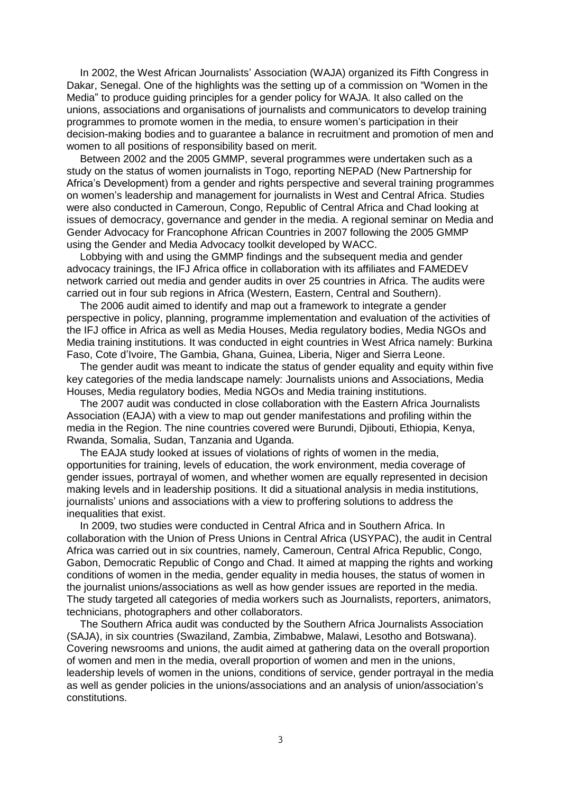In 2002, the West African Journalists' Association (WAJA) organized its Fifth Congress in Dakar, Senegal. One of the highlights was the setting up of a commission on "Women in the Media" to produce guiding principles for a gender policy for WAJA. It also called on the unions, associations and organisations of journalists and communicators to develop training programmes to promote women in the media, to ensure women's participation in their decision-making bodies and to guarantee a balance in recruitment and promotion of men and women to all positions of responsibility based on merit.

Between 2002 and the 2005 GMMP, several programmes were undertaken such as a study on the status of women journalists in Togo, reporting NEPAD (New Partnership for Africa's Development) from a gender and rights perspective and several training programmes on women's leadership and management for journalists in West and Central Africa. Studies were also conducted in Cameroun, Congo, Republic of Central Africa and Chad looking at issues of democracy, governance and gender in the media. A regional seminar on Media and Gender Advocacy for Francophone African Countries in 2007 following the 2005 GMMP using the Gender and Media Advocacy toolkit developed by WACC.

Lobbying with and using the GMMP findings and the subsequent media and gender advocacy trainings, the IFJ Africa office in collaboration with its affiliates and FAMEDEV network carried out media and gender audits in over 25 countries in Africa. The audits were carried out in four sub regions in Africa (Western, Eastern, Central and Southern).

The 2006 audit aimed to identify and map out a framework to integrate a gender perspective in policy, planning, programme implementation and evaluation of the activities of the IFJ office in Africa as well as Media Houses, Media regulatory bodies, Media NGOs and Media training institutions. It was conducted in eight countries in West Africa namely: Burkina Faso, Cote d'Ivoire, The Gambia, Ghana, Guinea, Liberia, Niger and Sierra Leone.

The gender audit was meant to indicate the status of gender equality and equity within five key categories of the media landscape namely: Journalists unions and Associations, Media Houses, Media regulatory bodies, Media NGOs and Media training institutions.

The 2007 audit was conducted in close collaboration with the Eastern Africa Journalists Association (EAJA) with a view to map out gender manifestations and profiling within the media in the Region. The nine countries covered were Burundi, Djibouti, Ethiopia, Kenya, Rwanda, Somalia, Sudan, Tanzania and Uganda.

The EAJA study looked at issues of violations of rights of women in the media, opportunities for training, levels of education, the work environment, media coverage of gender issues, portrayal of women, and whether women are equally represented in decision making levels and in leadership positions. It did a situational analysis in media institutions, journalists' unions and associations with a view to proffering solutions to address the inequalities that exist.

In 2009, two studies were conducted in Central Africa and in Southern Africa. In collaboration with the Union of Press Unions in Central Africa (USYPAC), the audit in Central Africa was carried out in six countries, namely, Cameroun, Central Africa Republic, Congo, Gabon, Democratic Republic of Congo and Chad. It aimed at mapping the rights and working conditions of women in the media, gender equality in media houses, the status of women in the journalist unions/associations as well as how gender issues are reported in the media. The study targeted all categories of media workers such as Journalists, reporters, animators, technicians, photographers and other collaborators.

The Southern Africa audit was conducted by the Southern Africa Journalists Association (SAJA), in six countries (Swaziland, Zambia, Zimbabwe, Malawi, Lesotho and Botswana). Covering newsrooms and unions, the audit aimed at gathering data on the overall proportion of women and men in the media, overall proportion of women and men in the unions, leadership levels of women in the unions, conditions of service, gender portrayal in the media as well as gender policies in the unions/associations and an analysis of union/association's constitutions.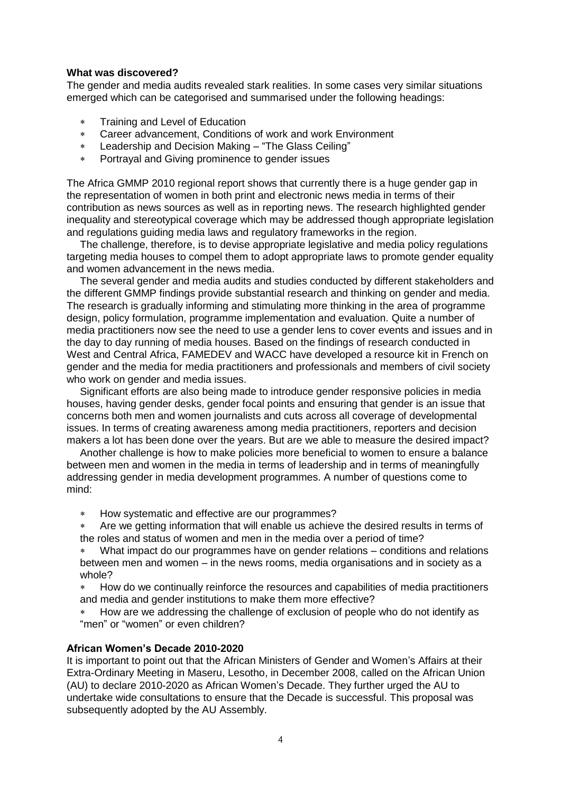# **What was discovered?**

The gender and media audits revealed stark realities. In some cases very similar situations emerged which can be categorised and summarised under the following headings:

- Training and Level of Education
- Career advancement, Conditions of work and work Environment
- Leadership and Decision Making "The Glass Ceiling"
- Portrayal and Giving prominence to gender issues

The Africa GMMP 2010 regional report shows that currently there is a huge gender gap in the representation of women in both print and electronic news media in terms of their contribution as news sources as well as in reporting news. The research highlighted gender inequality and stereotypical coverage which may be addressed though appropriate legislation and regulations guiding media laws and regulatory frameworks in the region.

The challenge, therefore, is to devise appropriate legislative and media policy regulations targeting media houses to compel them to adopt appropriate laws to promote gender equality and women advancement in the news media.

The several gender and media audits and studies conducted by different stakeholders and the different GMMP findings provide substantial research and thinking on gender and media. The research is gradually informing and stimulating more thinking in the area of programme design, policy formulation, programme implementation and evaluation. Quite a number of media practitioners now see the need to use a gender lens to cover events and issues and in the day to day running of media houses. Based on the findings of research conducted in West and Central Africa, FAMEDEV and WACC have developed a resource kit in French on gender and the media for media practitioners and professionals and members of civil society who work on gender and media issues.

Significant efforts are also being made to introduce gender responsive policies in media houses, having gender desks, gender focal points and ensuring that gender is an issue that concerns both men and women journalists and cuts across all coverage of developmental issues. In terms of creating awareness among media practitioners, reporters and decision makers a lot has been done over the years. But are we able to measure the desired impact?

Another challenge is how to make policies more beneficial to women to ensure a balance between men and women in the media in terms of leadership and in terms of meaningfully addressing gender in media development programmes. A number of questions come to mind:

- How systematic and effective are our programmes?
- Are we getting information that will enable us achieve the desired results in terms of the roles and status of women and men in the media over a period of time?
- What impact do our programmes have on gender relations conditions and relations between men and women – in the news rooms, media organisations and in society as a whole?
- How do we continually reinforce the resources and capabilities of media practitioners and media and gender institutions to make them more effective?
- How are we addressing the challenge of exclusion of people who do not identify as "men" or "women" or even children?

# **African Women's Decade 2010-2020**

It is important to point out that the African Ministers of Gender and Women's Affairs at their Extra-Ordinary Meeting in Maseru, Lesotho, in December 2008, called on the African Union (AU) to declare 2010-2020 as African Women's Decade. They further urged the AU to undertake wide consultations to ensure that the Decade is successful. This proposal was subsequently adopted by the AU Assembly.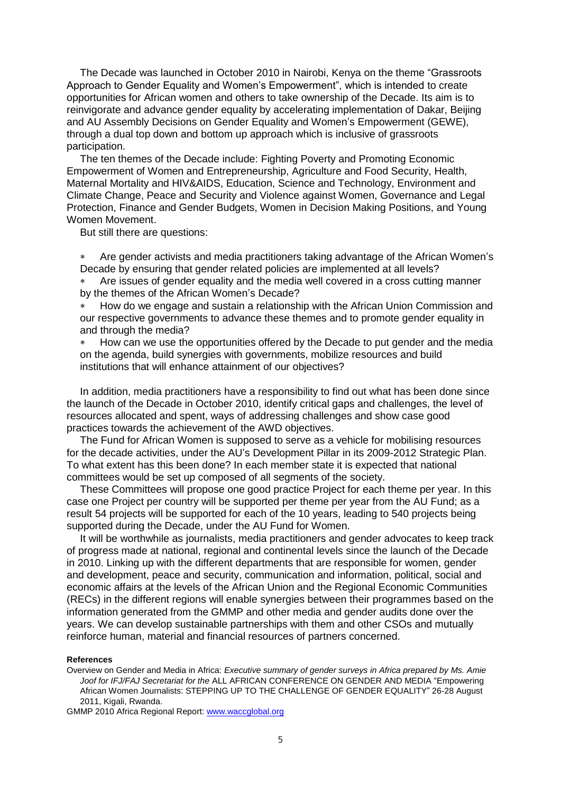The Decade was launched in October 2010 in Nairobi, Kenya on the theme "Grassroots Approach to Gender Equality and Women's Empowerment", which is intended to create opportunities for African women and others to take ownership of the Decade. Its aim is to reinvigorate and advance gender equality by accelerating implementation of Dakar, Beijing and AU Assembly Decisions on Gender Equality and Women's Empowerment (GEWE), through a dual top down and bottom up approach which is inclusive of grassroots participation.

The ten themes of the Decade include: Fighting Poverty and Promoting Economic Empowerment of Women and Entrepreneurship, Agriculture and Food Security, Health, Maternal Mortality and HIV&AIDS, Education, Science and Technology, Environment and Climate Change, Peace and Security and Violence against Women, Governance and Legal Protection, Finance and Gender Budgets, Women in Decision Making Positions, and Young Women Movement.

But still there are questions:

 Are gender activists and media practitioners taking advantage of the African Women's Decade by ensuring that gender related policies are implemented at all levels?

 Are issues of gender equality and the media well covered in a cross cutting manner by the themes of the African Women's Decade?

 How do we engage and sustain a relationship with the African Union Commission and our respective governments to advance these themes and to promote gender equality in and through the media?

 How can we use the opportunities offered by the Decade to put gender and the media on the agenda, build synergies with governments, mobilize resources and build institutions that will enhance attainment of our objectives?

In addition, media practitioners have a responsibility to find out what has been done since the launch of the Decade in October 2010, identify critical gaps and challenges, the level of resources allocated and spent, ways of addressing challenges and show case good practices towards the achievement of the AWD objectives.

The Fund for African Women is supposed to serve as a vehicle for mobilising resources for the decade activities, under the AU's Development Pillar in its 2009-2012 Strategic Plan. To what extent has this been done? In each member state it is expected that national committees would be set up composed of all segments of the society.

These Committees will propose one good practice Project for each theme per year. In this case one Project per country will be supported per theme per year from the AU Fund; as a result 54 projects will be supported for each of the 10 years, leading to 540 projects being supported during the Decade, under the AU Fund for Women.

It will be worthwhile as journalists, media practitioners and gender advocates to keep track of progress made at national, regional and continental levels since the launch of the Decade in 2010. Linking up with the different departments that are responsible for women, gender and development, peace and security, communication and information, political, social and economic affairs at the levels of the African Union and the Regional Economic Communities (RECs) in the different regions will enable synergies between their programmes based on the information generated from the GMMP and other media and gender audits done over the years. We can develop sustainable partnerships with them and other CSOs and mutually reinforce human, material and financial resources of partners concerned.

#### **References**

Overview on Gender and Media in Africa: *Executive summary of gender surveys in Africa prepared by Ms. Amie Joof for IFJ/FAJ Secretariat for the* ALL AFRICAN CONFERENCE ON GENDER AND MEDIA "Empowering African Women Journalists: STEPPING UP TO THE CHALLENGE OF GENDER EQUALITY" 26-28 August 2011, Kigali, Rwanda.

GMMP 2010 Africa Regional Report: [www.waccglobal.org](http://www.waccglobal.org/)